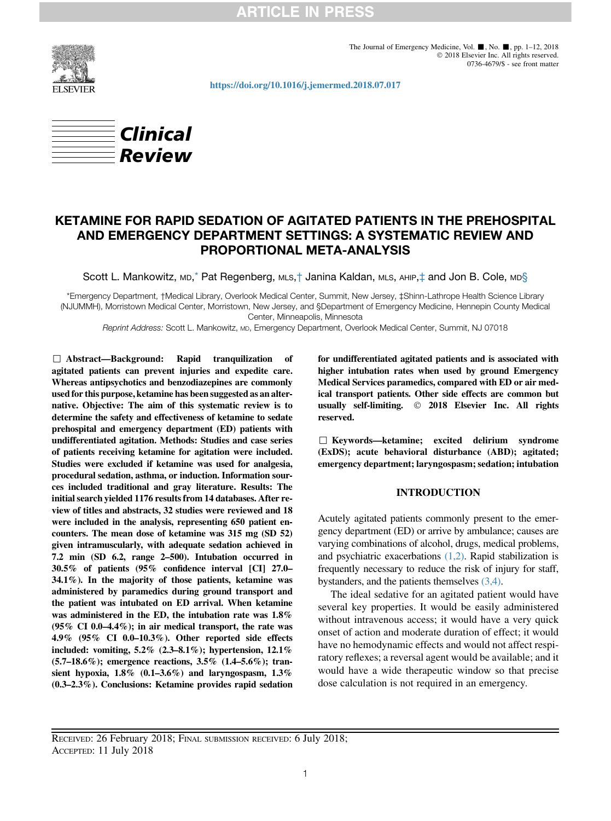**ARTICLE IN PRESS** 



The Journal of Emergency Medicine, Vol.  $\blacksquare$ , No.  $\blacksquare$ , pp. 1–12, 2018 2018 Elsevier Inc. All rights reserved. 0736-4679/\$ - see front matter

<https://doi.org/10.1016/j.jemermed.2018.07.017>



## KETAMINE FOR RAPID SEDATION OF AGITATED PATIENTS IN THE PREHOSPITAL AND EMERGENCY DEPARTMENT SETTINGS: A SYSTEMATIC REVIEW AND PROPORTIONAL META-ANALYSIS

Scott L. Mankowitz, MD,\* Pat Regenberg, MLS,† Janina Kaldan, MLS, AHIP,‡ and Jon B. Cole, MD§

\*Emergency Department, †Medical Library, Overlook Medical Center, Summit, New Jersey, ‡Shinn-Lathrope Health Science Library (NJUMMH), Morristown Medical Center, Morristown, New Jersey, and §Department of Emergency Medicine, Hennepin County Medical Center, Minneapolis, Minnesota

Reprint Address: Scott L. Mankowitz, MD, Emergency Department, Overlook Medical Center, Summit, NJ 07018

 $\Box$  Abstract—Background: Rapid tranquilization of agitated patients can prevent injuries and expedite care. Whereas antipsychotics and benzodiazepines are commonly used for this purpose, ketamine has been suggested as an alternative. Objective: The aim of this systematic review is to determine the safety and effectiveness of ketamine to sedate prehospital and emergency department (ED) patients with undifferentiated agitation. Methods: Studies and case series of patients receiving ketamine for agitation were included. Studies were excluded if ketamine was used for analgesia, procedural sedation, asthma, or induction. Information sources included traditional and gray literature. Results: The initial search yielded 1176 results from 14 databases. After review of titles and abstracts, 32 studies were reviewed and 18 were included in the analysis, representing 650 patient encounters. The mean dose of ketamine was 315 mg (SD 52) given intramuscularly, with adequate sedation achieved in 7.2 min (SD 6.2, range 2–500). Intubation occurred in 30.5% of patients (95% confidence interval [CI] 27.0– 34.1%). In the majority of those patients, ketamine was administered by paramedics during ground transport and the patient was intubated on ED arrival. When ketamine was administered in the ED, the intubation rate was 1.8% (95% CI 0.0–4.4%); in air medical transport, the rate was 4.9% (95% CI 0.0–10.3%). Other reported side effects included: vomiting, 5.2% (2.3–8.1%); hypertension, 12.1% (5.7–18.6%); emergence reactions, 3.5% (1.4–5.6%); transient hypoxia,  $1.8\%$  (0.1–3.6%) and laryngospasm,  $1.3\%$ (0.3–2.3%). Conclusions: Ketamine provides rapid sedation

for undifferentiated agitated patients and is associated with higher intubation rates when used by ground Emergency Medical Services paramedics, compared with ED or air medical transport patients. Other side effects are common but usually self-limiting.  $\oslash$  2018 Elsevier Inc. All rights reserved.

 $\Box$  Keywords—ketamine; excited delirium syndrome (ExDS); acute behavioral disturbance (ABD); agitated; emergency department; laryngospasm; sedation; intubation

#### INTRODUCTION

Acutely agitated patients commonly present to the emergency department (ED) or arrive by ambulance; causes are varying combinations of alcohol, drugs, medical problems, and psychiatric exacerbations  $(1,2)$ . Rapid stabilization is frequently necessary to reduce the risk of injury for staff, bystanders, and the patients themselves [\(3,4\)](#page-9-0).

The ideal sedative for an agitated patient would have several key properties. It would be easily administered without intravenous access; it would have a very quick onset of action and moderate duration of effect; it would have no hemodynamic effects and would not affect respiratory reflexes; a reversal agent would be available; and it would have a wide therapeutic window so that precise dose calculation is not required in an emergency.

RECEIVED: 26 February 2018; FINAL SUBMISSION RECEIVED: 6 July 2018; ACCEPTED: 11 July 2018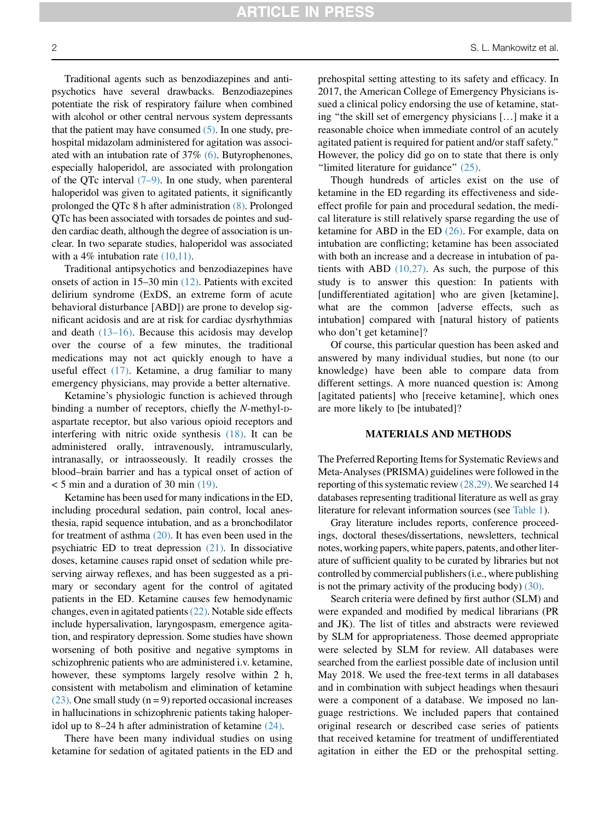**ARTICLE IN PRESS** 

Traditional agents such as benzodiazepines and antipsychotics have several drawbacks. Benzodiazepines potentiate the risk of respiratory failure when combined with alcohol or other central nervous system depressants that the patient may have consumed  $(5)$ . In one study, prehospital midazolam administered for agitation was associated with an intubation rate of 37% [\(6\)](#page-9-0). Butyrophenones, especially haloperidol, are associated with prolongation of the QTc interval  $(7-9)$ . In one study, when parenteral haloperidol was given to agitated patients, it significantly prolonged the QTc 8 h after administration [\(8\).](#page-9-0) Prolonged QTc has been associated with torsades de pointes and sudden cardiac death, although the degree of association is unclear. In two separate studies, haloperidol was associated with a  $4\%$  intubation rate  $(10,11)$ .

Traditional antipsychotics and benzodiazepines have onsets of action in 15–30 min [\(12\)](#page-9-0). Patients with excited delirium syndrome (ExDS, an extreme form of acute behavioral disturbance [ABD]) are prone to develop significant acidosis and are at risk for cardiac dysrhythmias and death [\(13–16\).](#page-9-0) Because this acidosis may develop over the course of a few minutes, the traditional medications may not act quickly enough to have a useful effect [\(17\)](#page-9-0). Ketamine, a drug familiar to many emergency physicians, may provide a better alternative.

Ketamine's physiologic function is achieved through binding a number of receptors, chiefly the N-methyl-Daspartate receptor, but also various opioid receptors and interfering with nitric oxide synthesis [\(18\).](#page-10-0) It can be administered orally, intravenously, intramuscularly, intranasally, or intraosseously. It readily crosses the blood–brain barrier and has a typical onset of action of  $<$  5 min and a duration of 30 min  $(19)$ .

Ketamine has been used for many indications in the ED, including procedural sedation, pain control, local anesthesia, rapid sequence intubation, and as a bronchodilator for treatment of asthma [\(20\).](#page-10-0) It has even been used in the psychiatric ED to treat depression [\(21\).](#page-10-0) In dissociative doses, ketamine causes rapid onset of sedation while preserving airway reflexes, and has been suggested as a primary or secondary agent for the control of agitated patients in the ED. Ketamine causes few hemodynamic changes, even in agitated patients[\(22\)](#page-10-0). Notable side effects include hypersalivation, laryngospasm, emergence agitation, and respiratory depression. Some studies have shown worsening of both positive and negative symptoms in schizophrenic patients who are administered i.v. ketamine, however, these symptoms largely resolve within 2 h, consistent with metabolism and elimination of ketamine [\(23\)](#page-10-0). One small study  $(n = 9)$  reported occasional increases in hallucinations in schizophrenic patients taking haloperidol up to 8–24 h after administration of ketamine [\(24\).](#page-10-0)

There have been many individual studies on using ketamine for sedation of agitated patients in the ED and prehospital setting attesting to its safety and efficacy. In 2017, the American College of Emergency Physicians issued a clinical policy endorsing the use of ketamine, stating "the skill set of emergency physicians [...] make it a reasonable choice when immediate control of an acutely agitated patient is required for patient and/or staff safety.'' However, the policy did go on to state that there is only ''limited literature for guidance'' [\(25\)](#page-10-0).

Though hundreds of articles exist on the use of ketamine in the ED regarding its effectiveness and sideeffect profile for pain and procedural sedation, the medical literature is still relatively sparse regarding the use of ketamine for ABD in the ED [\(26\)](#page-10-0). For example, data on intubation are conflicting; ketamine has been associated with both an increase and a decrease in intubation of patients with ABD  $(10,27)$ . As such, the purpose of this study is to answer this question: In patients with [undifferentiated agitation] who are given [ketamine], what are the common [adverse effects, such as intubation] compared with [natural history of patients who don't get ketamine]?

Of course, this particular question has been asked and answered by many individual studies, but none (to our knowledge) have been able to compare data from different settings. A more nuanced question is: Among [agitated patients] who [receive ketamine], which ones are more likely to [be intubated]?

#### MATERIALS AND METHODS

The Preferred Reporting Items for Systematic Reviews and Meta-Analyses (PRISMA) guidelines were followed in the reporting of this systematic review [\(28,29\)](#page-10-0). We searched 14 databases representing traditional literature as well as gray literature for relevant information sources (see [Table 1\)](#page-2-0).

Gray literature includes reports, conference proceedings, doctoral theses/dissertations, newsletters, technical notes, working papers, white papers, patents, and other literature of sufficient quality to be curated by libraries but not controlled by commercial publishers (i.e., where publishing is not the primary activity of the producing body) [\(30\).](#page-10-0)

Search criteria were defined by first author (SLM) and were expanded and modified by medical librarians (PR and JK). The list of titles and abstracts were reviewed by SLM for appropriateness. Those deemed appropriate were selected by SLM for review. All databases were searched from the earliest possible date of inclusion until May 2018. We used the free-text terms in all databases and in combination with subject headings when thesauri were a component of a database. We imposed no language restrictions. We included papers that contained original research or described case series of patients that received ketamine for treatment of undifferentiated agitation in either the ED or the prehospital setting.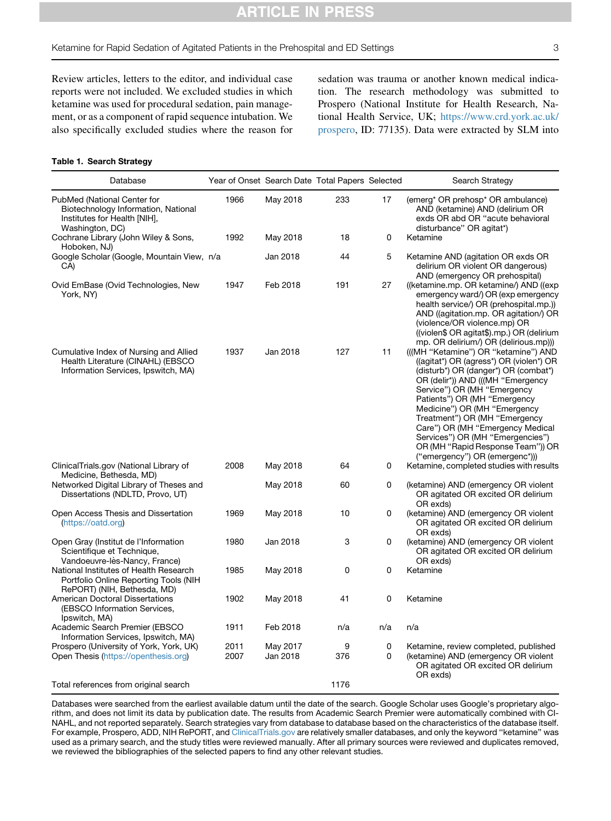<span id="page-2-0"></span>Review articles, letters to the editor, and individual case reports were not included. We excluded studies in which ketamine was used for procedural sedation, pain management, or as a component of rapid sequence intubation. We also specifically excluded studies where the reason for sedation was trauma or another known medical indication. The research methodology was submitted to Prospero (National Institute for Health Research, National Health Service, UK; [https://www.crd.york.ac.uk/](https://www.crd.york.ac.uk/prospero) [prospero,](https://www.crd.york.ac.uk/prospero) ID: 77135). Data were extracted by SLM into

#### Table 1. Search Strategy

| Database                                                                                                              | Year of Onset Search Date Total Papers Selected |          |      |     | Search Strategy                                                                                                                                                                                                                                                                                                                                                                                                                             |
|-----------------------------------------------------------------------------------------------------------------------|-------------------------------------------------|----------|------|-----|---------------------------------------------------------------------------------------------------------------------------------------------------------------------------------------------------------------------------------------------------------------------------------------------------------------------------------------------------------------------------------------------------------------------------------------------|
| PubMed (National Center for<br>Biotechnology Information, National<br>Institutes for Health [NIH],<br>Washington, DC) | 1966                                            | May 2018 | 233  | 17  | (emerg* OR prehosp* OR ambulance)<br>AND (ketamine) AND (delirium OR<br>exds OR abd OR "acute behavioral<br>disturbance" OR agitat*)                                                                                                                                                                                                                                                                                                        |
| Cochrane Library (John Wiley & Sons,<br>Hoboken, NJ)                                                                  | 1992                                            | May 2018 | 18   | 0   | Ketamine                                                                                                                                                                                                                                                                                                                                                                                                                                    |
| Google Scholar (Google, Mountain View, n/a<br>CA)                                                                     |                                                 | Jan 2018 | 44   | 5   | Ketamine AND (agitation OR exds OR<br>delirium OR violent OR dangerous)<br>AND (emergency OR prehospital)                                                                                                                                                                                                                                                                                                                                   |
| Ovid EmBase (Ovid Technologies, New<br>York, NY)                                                                      | 1947                                            | Feb 2018 | 191  | 27  | ((ketamine.mp. OR ketamine/) AND ((exp<br>emergency ward/) OR (exp emergency<br>health service/) OR (prehospital.mp.))<br>AND ((agitation.mp. OR agitation/) OR<br>(violence/OR violence.mp) OR<br>((violen\$ OR agitat\$).mp.) OR (delirium<br>mp. OR delirium/) OR (delirious.mp)))                                                                                                                                                       |
| Cumulative Index of Nursing and Allied<br>Health Literature (CINAHL) (EBSCO<br>Information Services, Ipswitch, MA)    | 1937                                            | Jan 2018 | 127  | 11  | (((MH "Ketamine") OR "ketamine") AND<br>((agitat*) OR (agress*) OR (violen*) OR<br>(disturb*) OR (danger*) OR (combat*)<br>OR (delir*)) AND (((MH "Emergency<br>Service") OR (MH "Emergency<br>Patients") OR (MH "Emergency<br>Medicine") OR (MH "Emergency<br>Treatment") OR (MH "Emergency<br>Care") OR (MH "Emergency Medical<br>Services") OR (MH "Emergencies")<br>OR (MH "Rapid Response Team")) OR<br>("emergency") OR (emergenc*))) |
| ClinicalTrials.gov (National Library of<br>Medicine, Bethesda, MD)                                                    | 2008                                            | May 2018 | 64   | 0   | Ketamine, completed studies with results                                                                                                                                                                                                                                                                                                                                                                                                    |
| Networked Digital Library of Theses and<br>Dissertations (NDLTD, Provo, UT)                                           |                                                 | May 2018 | 60   | 0   | (ketamine) AND (emergency OR violent<br>OR agitated OR excited OR delirium<br>OR exds)                                                                                                                                                                                                                                                                                                                                                      |
| Open Access Thesis and Dissertation<br>(https://oatd.org)                                                             | 1969                                            | May 2018 | 10   | 0   | (ketamine) AND (emergency OR violent<br>OR agitated OR excited OR delirium<br>OR exds)                                                                                                                                                                                                                                                                                                                                                      |
| Open Gray (Institut de l'Information<br>Scientifique et Technique,<br>Vandoeuvre-lès-Nancy, France)                   | 1980                                            | Jan 2018 | 3    | 0   | (ketamine) AND (emergency OR violent<br>OR agitated OR excited OR delirium<br>OR exds)                                                                                                                                                                                                                                                                                                                                                      |
| National Institutes of Health Research<br>Portfolio Online Reporting Tools (NIH<br>RePORT) (NIH, Bethesda, MD)        | 1985                                            | May 2018 | 0    | 0   | Ketamine                                                                                                                                                                                                                                                                                                                                                                                                                                    |
| <b>American Doctoral Dissertations</b><br>(EBSCO Information Services,<br>Ipswitch, MA)                               | 1902                                            | May 2018 | 41   | 0   | Ketamine                                                                                                                                                                                                                                                                                                                                                                                                                                    |
| Academic Search Premier (EBSCO<br>Information Services, Ipswitch, MA)                                                 | 1911                                            | Feb 2018 | n/a  | n/a | n/a                                                                                                                                                                                                                                                                                                                                                                                                                                         |
| Prospero (University of York, York, UK)                                                                               | 2011                                            | May 2017 | 9    | 0   | Ketamine, review completed, published                                                                                                                                                                                                                                                                                                                                                                                                       |
| Open Thesis (https://openthesis.org)                                                                                  | 2007                                            | Jan 2018 | 376  | 0   | (ketamine) AND (emergency OR violent<br>OR agitated OR excited OR delirium<br>OR exds)                                                                                                                                                                                                                                                                                                                                                      |
| Total references from original search                                                                                 |                                                 |          | 1176 |     |                                                                                                                                                                                                                                                                                                                                                                                                                                             |

Databases were searched from the earliest available datum until the date of the search. Google Scholar uses Google's proprietary algorithm, and does not limit its data by publication date. The results from Academic Search Premier were automatically combined with CI-NAHL, and not reported separately. Search strategies vary from database to database based on the characteristics of the database itself. For example, Prospero, ADD, NIH RePORT, and [ClinicalTrials.gov](http://ClinicalTrials.gov) are relatively smaller databases, and only the keyword ''ketamine'' was used as a primary search, and the study titles were reviewed manually. After all primary sources were reviewed and duplicates removed, we reviewed the bibliographies of the selected papers to find any other relevant studies.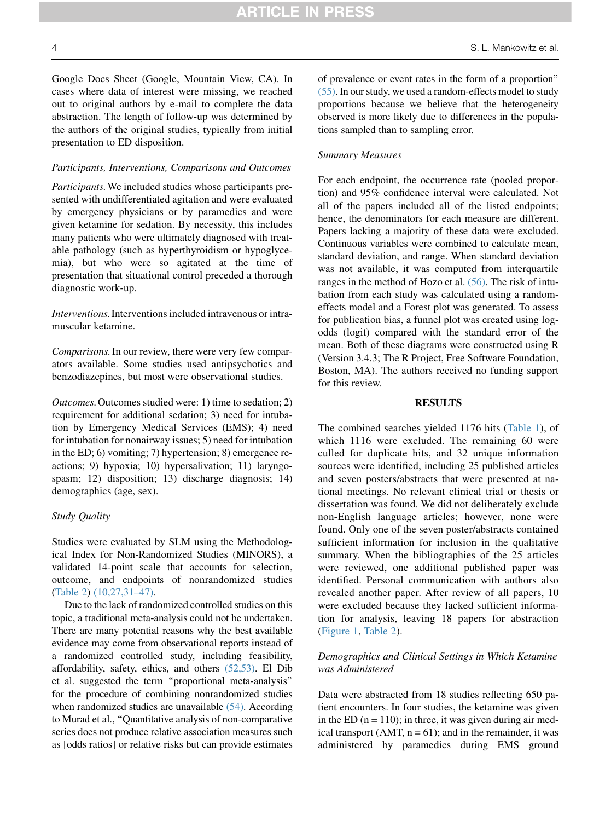Google Docs Sheet (Google, Mountain View, CA). In cases where data of interest were missing, we reached out to original authors by e-mail to complete the data abstraction. The length of follow-up was determined by the authors of the original studies, typically from initial presentation to ED disposition.

#### Participants, Interventions, Comparisons and Outcomes

Participants.We included studies whose participants presented with undifferentiated agitation and were evaluated by emergency physicians or by paramedics and were given ketamine for sedation. By necessity, this includes many patients who were ultimately diagnosed with treatable pathology (such as hyperthyroidism or hypoglycemia), but who were so agitated at the time of presentation that situational control preceded a thorough diagnostic work-up.

Interventions.Interventions included intravenous or intramuscular ketamine.

Comparisons. In our review, there were very few comparators available. Some studies used antipsychotics and benzodiazepines, but most were observational studies.

Outcomes.Outcomes studied were: 1) time to sedation; 2) requirement for additional sedation; 3) need for intubation by Emergency Medical Services (EMS); 4) need for intubation for nonairway issues; 5) need for intubation in the ED; 6) vomiting; 7) hypertension; 8) emergence reactions; 9) hypoxia; 10) hypersalivation; 11) laryngospasm; 12) disposition; 13) discharge diagnosis; 14) demographics (age, sex).

#### Study Quality

Studies were evaluated by SLM using the Methodological Index for Non-Randomized Studies (MINORS), a validated 14-point scale that accounts for selection, outcome, and endpoints of nonrandomized studies [\(Table 2](#page-4-0)) [\(10,27,31–47\).](#page-9-0)

Due to the lack of randomized controlled studies on this topic, a traditional meta-analysis could not be undertaken. There are many potential reasons why the best available evidence may come from observational reports instead of a randomized controlled study, including feasibility, affordability, safety, ethics, and others [\(52,53\)](#page-10-0). El Dib et al. suggested the term ''proportional meta-analysis'' for the procedure of combining nonrandomized studies when randomized studies are unavailable [\(54\).](#page-10-0) According to Murad et al., ''Quantitative analysis of non-comparative series does not produce relative association measures such as [odds ratios] or relative risks but can provide estimates

of prevalence or event rates in the form of a proportion'' [\(55\)](#page-10-0). In our study, we used a random-effects model to study proportions because we believe that the heterogeneity observed is more likely due to differences in the populations sampled than to sampling error.

#### Summary Measures

For each endpoint, the occurrence rate (pooled proportion) and 95% confidence interval were calculated. Not all of the papers included all of the listed endpoints; hence, the denominators for each measure are different. Papers lacking a majority of these data were excluded. Continuous variables were combined to calculate mean, standard deviation, and range. When standard deviation was not available, it was computed from interquartile ranges in the method of Hozo et al. [\(56\).](#page-10-0) The risk of intubation from each study was calculated using a randomeffects model and a Forest plot was generated. To assess for publication bias, a funnel plot was created using logodds (logit) compared with the standard error of the mean. Both of these diagrams were constructed using R (Version 3.4.3; The R Project, Free Software Foundation, Boston, MA). The authors received no funding support for this review.

#### RESULTS

The combined searches yielded 1176 hits ([Table 1](#page-2-0)), of which 1116 were excluded. The remaining 60 were culled for duplicate hits, and 32 unique information sources were identified, including 25 published articles and seven posters/abstracts that were presented at national meetings. No relevant clinical trial or thesis or dissertation was found. We did not deliberately exclude non-English language articles; however, none were found. Only one of the seven poster/abstracts contained sufficient information for inclusion in the qualitative summary. When the bibliographies of the 25 articles were reviewed, one additional published paper was identified. Personal communication with authors also revealed another paper. After review of all papers, 10 were excluded because they lacked sufficient information for analysis, leaving 18 papers for abstraction [\(Figure 1,](#page-6-0) [Table 2\)](#page-4-0).

## Demographics and Clinical Settings in Which Ketamine was Administered

Data were abstracted from 18 studies reflecting 650 patient encounters. In four studies, the ketamine was given in the ED  $(n = 110)$ ; in three, it was given during air medical transport (AMT,  $n = 61$ ); and in the remainder, it was administered by paramedics during EMS ground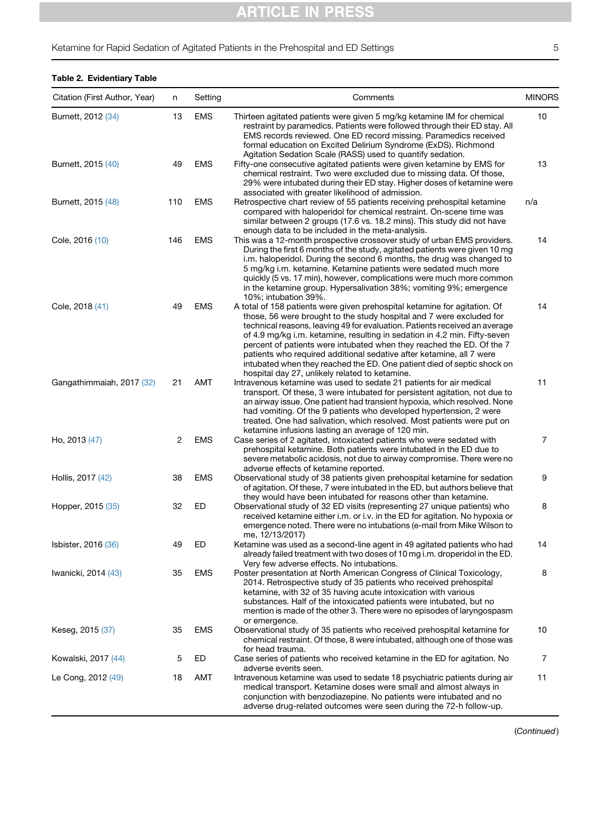# **ARTICLE IN PRESS**

## <span id="page-4-0"></span>Ketamine for Rapid Sedation of Agitated Patients in the Prehospital and ED Settings **Fig. 2016** 5

## Table 2. Evidentiary Table

| Citation (First Author, Year) | n   | Setting    | Comments                                                                                                                                                                                                                                                                                                                                                                                                                                                                                                                                                         | <b>MINORS</b>  |
|-------------------------------|-----|------------|------------------------------------------------------------------------------------------------------------------------------------------------------------------------------------------------------------------------------------------------------------------------------------------------------------------------------------------------------------------------------------------------------------------------------------------------------------------------------------------------------------------------------------------------------------------|----------------|
| Burnett, 2012 (34)            | 13  | <b>EMS</b> | Thirteen agitated patients were given 5 mg/kg ketamine IM for chemical<br>restraint by paramedics. Patients were followed through their ED stay. All<br>EMS records reviewed. One ED record missing. Paramedics received<br>formal education on Excited Delirium Syndrome (ExDS). Richmond                                                                                                                                                                                                                                                                       | 10             |
| Burnett, 2015 (40)            | 49  | <b>EMS</b> | Agitation Sedation Scale (RASS) used to quantify sedation.<br>Fifty-one consecutive agitated patients were given ketamine by EMS for<br>chemical restraint. Two were excluded due to missing data. Of those,<br>29% were intubated during their ED stay. Higher doses of ketamine were<br>associated with greater likelihood of admission.                                                                                                                                                                                                                       | 13             |
| Burnett, 2015 (48)            | 110 | EMS        | Retrospective chart review of 55 patients receiving prehospital ketamine<br>compared with haloperidol for chemical restraint. On-scene time was<br>similar between 2 groups (17.6 vs. 18.2 mins). This study did not have<br>enough data to be included in the meta-analysis.                                                                                                                                                                                                                                                                                    | n/a            |
| Cole, 2016 (10)               | 146 | <b>EMS</b> | This was a 12-month prospective crossover study of urban EMS providers.<br>During the first 6 months of the study, agitated patients were given 10 mg<br>i.m. haloperidol. During the second 6 months, the drug was changed to<br>5 mg/kg i.m. ketamine. Ketamine patients were sedated much more<br>quickly (5 vs. 17 min), however, complications were much more common<br>in the ketamine group. Hypersalivation 38%; vomiting 9%; emergence                                                                                                                  | 14             |
| Cole, 2018 (41)               | 49  | <b>EMS</b> | 10%; intubation 39%.<br>A total of 158 patients were given prehospital ketamine for agitation. Of<br>those, 56 were brought to the study hospital and 7 were excluded for<br>technical reasons, leaving 49 for evaluation. Patients received an average<br>of 4.9 mg/kg i.m. ketamine, resulting in sedation in 4.2 min. Fifty-seven<br>percent of patients were intubated when they reached the ED. Of the 7<br>patients who required additional sedative after ketamine, all 7 were<br>intubated when they reached the ED. One patient died of septic shock on | 14             |
| Gangathimmaiah, 2017 (32)     | 21  | AMT        | hospital day 27, unlikely related to ketamine.<br>Intravenous ketamine was used to sedate 21 patients for air medical<br>transport. Of these, 3 were intubated for persistent agitation, not due to<br>an airway issue. One patient had transient hypoxia, which resolved. None<br>had vomiting. Of the 9 patients who developed hypertension, 2 were<br>treated. One had salivation, which resolved. Most patients were put on                                                                                                                                  | 11             |
| Ho, 2013 (47)                 | 2   | <b>EMS</b> | ketamine infusions lasting an average of 120 min.<br>Case series of 2 agitated, intoxicated patients who were sedated with<br>prehospital ketamine. Both patients were intubated in the ED due to<br>severe metabolic acidosis, not due to airway compromise. There were no                                                                                                                                                                                                                                                                                      | $\overline{7}$ |
| Hollis, 2017 (42)             | 38  | EMS        | adverse effects of ketamine reported.<br>Observational study of 38 patients given prehospital ketamine for sedation<br>of agitation. Of these, 7 were intubated in the ED, but authors believe that<br>they would have been intubated for reasons other than ketamine.                                                                                                                                                                                                                                                                                           | 9              |
| Hopper, 2015 (35)             | 32  | ED         | Observational study of 32 ED visits (representing 27 unique patients) who<br>received ketamine either i.m. or i.v. in the ED for agitation. No hypoxia or<br>emergence noted. There were no intubations (e-mail from Mike Wilson to<br>me, 12/13/2017)                                                                                                                                                                                                                                                                                                           | 8              |
| Isbister, 2016 (36)           | 49  | ED         | Ketamine was used as a second-line agent in 49 agitated patients who had<br>already failed treatment with two doses of 10 mg i.m. droperidol in the ED.                                                                                                                                                                                                                                                                                                                                                                                                          | 14             |
| Iwanicki, 2014 (43)           | 35  | <b>EMS</b> | Very few adverse effects. No intubations.<br>Poster presentation at North American Congress of Clinical Toxicology,<br>2014. Retrospective study of 35 patients who received prehospital<br>ketamine, with 32 of 35 having acute intoxication with various<br>substances. Half of the intoxicated patients were intubated, but no<br>mention is made of the other 3. There were no episodes of laryngospasm<br>or emergence.                                                                                                                                     | 8              |
| Keseg, 2015 (37)              | 35  | <b>EMS</b> | Observational study of 35 patients who received prehospital ketamine for<br>chemical restraint. Of those, 8 were intubated, although one of those was<br>for head trauma.                                                                                                                                                                                                                                                                                                                                                                                        | 10             |
| Kowalski, 2017 (44)           | 5   | ED         | Case series of patients who received ketamine in the ED for agitation. No                                                                                                                                                                                                                                                                                                                                                                                                                                                                                        | 7              |
| Le Cong, 2012 (49)            | 18  | AMT        | adverse events seen.<br>Intravenous ketamine was used to sedate 18 psychiatric patients during air<br>medical transport. Ketamine doses were small and almost always in<br>conjunction with benzodiazepine. No patients were intubated and no<br>adverse drug-related outcomes were seen during the 72-h follow-up.                                                                                                                                                                                                                                              | 11             |

(*Continued*)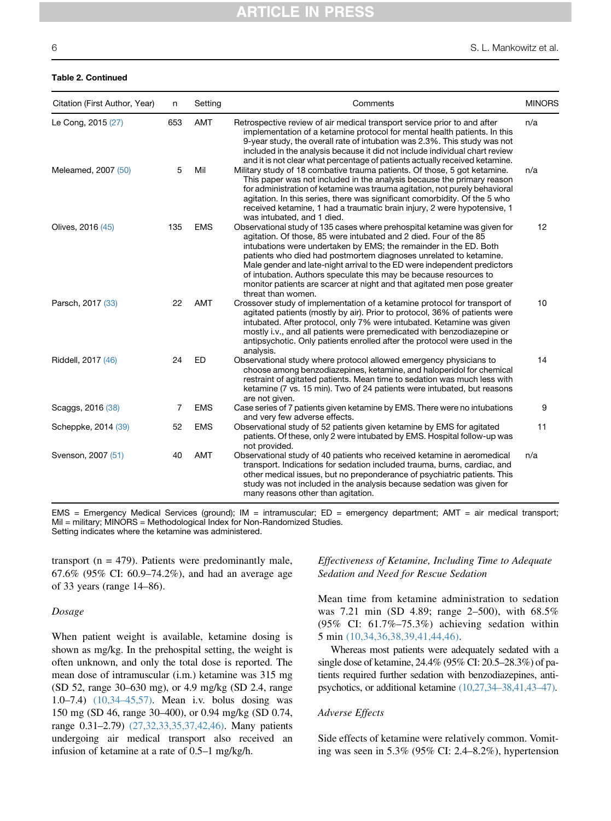### Table 2. Continued

| Citation (First Author, Year) | n   | Setting    | Comments                                                                                                                                                                                                                                                                                                                                                                                                                                                                                                                                    | <b>MINORS</b> |
|-------------------------------|-----|------------|---------------------------------------------------------------------------------------------------------------------------------------------------------------------------------------------------------------------------------------------------------------------------------------------------------------------------------------------------------------------------------------------------------------------------------------------------------------------------------------------------------------------------------------------|---------------|
| Le Cong, 2015 (27)            | 653 | <b>AMT</b> | Retrospective review of air medical transport service prior to and after<br>implementation of a ketamine protocol for mental health patients. In this<br>9-year study, the overall rate of intubation was 2.3%. This study was not<br>included in the analysis because it did not include individual chart review<br>and it is not clear what percentage of patients actually received ketamine.                                                                                                                                            | n/a           |
| Meleamed, 2007 (50)           | 5   | Mil        | Military study of 18 combative trauma patients. Of those, 5 got ketamine.<br>This paper was not included in the analysis because the primary reason<br>for administration of ketamine was trauma agitation, not purely behavioral<br>agitation. In this series, there was significant comorbidity. Of the 5 who<br>received ketamine, 1 had a traumatic brain injury, 2 were hypotensive, 1<br>was intubated, and 1 died.                                                                                                                   | n/a           |
| Olives, 2016 (45)             | 135 | <b>EMS</b> | Observational study of 135 cases where prehospital ketamine was given for<br>agitation. Of those, 85 were intubated and 2 died. Four of the 85<br>intubations were undertaken by EMS; the remainder in the ED. Both<br>patients who died had postmortem diagnoses unrelated to ketamine.<br>Male gender and late-night arrival to the ED were independent predictors<br>of intubation. Authors speculate this may be because resources to<br>monitor patients are scarcer at night and that agitated men pose greater<br>threat than women. | 12            |
| Parsch, 2017 (33)             | 22  | <b>AMT</b> | Crossover study of implementation of a ketamine protocol for transport of<br>agitated patients (mostly by air). Prior to protocol, 36% of patients were<br>intubated. After protocol, only 7% were intubated. Ketamine was given<br>mostly i.v., and all patients were premedicated with benzodiazepine or<br>antipsychotic. Only patients enrolled after the protocol were used in the<br>analysis.                                                                                                                                        | 10            |
| Riddell, 2017 (46)            | 24  | <b>ED</b>  | Observational study where protocol allowed emergency physicians to<br>choose among benzodiazepines, ketamine, and haloperidol for chemical<br>restraint of agitated patients. Mean time to sedation was much less with<br>ketamine (7 vs. 15 min). Two of 24 patients were intubated, but reasons<br>are not given.                                                                                                                                                                                                                         | 14            |
| Scaggs, 2016 (38)             | 7   | <b>EMS</b> | Case series of 7 patients given ketamine by EMS. There were no intubations<br>and very few adverse effects.                                                                                                                                                                                                                                                                                                                                                                                                                                 | 9             |
| Scheppke, 2014 (39)           | 52  | <b>EMS</b> | Observational study of 52 patients given ketamine by EMS for agitated<br>patients. Of these, only 2 were intubated by EMS. Hospital follow-up was<br>not provided.                                                                                                                                                                                                                                                                                                                                                                          | 11            |
| Svenson, 2007 (51)            | 40  | <b>AMT</b> | Observational study of 40 patients who received ketamine in aeromedical<br>transport. Indications for sedation included trauma, burns, cardiac, and<br>other medical issues, but no preponderance of psychiatric patients. This<br>study was not included in the analysis because sedation was given for<br>many reasons other than agitation.                                                                                                                                                                                              | n/a           |

EMS = Emergency Medical Services (ground); IM = intramuscular; ED = emergency department; AMT = air medical transport; Mil = military; MINORS = Methodological Index for Non-Randomized Studies. Setting indicates where the ketamine was administered.

transport ( $n = 479$ ). Patients were predominantly male, 67.6% (95% CI: 60.9–74.2%), and had an average age of 33 years (range 14–86).

#### Dosage

When patient weight is available, ketamine dosing is shown as mg/kg. In the prehospital setting, the weight is often unknown, and only the total dose is reported. The mean dose of intramuscular (i.m.) ketamine was 315 mg (SD 52, range 30–630 mg), or 4.9 mg/kg (SD 2.4, range 1.0–7.4) [\(10,34–45,57\)](#page-9-0). Mean i.v. bolus dosing was 150 mg (SD 46, range 30–400), or 0.94 mg/kg (SD 0.74, range 0.31–2.79) [\(27,32,33,35,37,42,46\)](#page-10-0). Many patients undergoing air medical transport also received an infusion of ketamine at a rate of 0.5–1 mg/kg/h.

Effectiveness of Ketamine, Including Time to Adequate Sedation and Need for Rescue Sedation

Mean time from ketamine administration to sedation was 7.21 min (SD 4.89; range 2–500), with 68.5% (95% CI: 61.7%–75.3%) achieving sedation within 5 min [\(10,34,36,38,39,41,44,46\).](#page-9-0)

Whereas most patients were adequately sedated with a single dose of ketamine, 24.4% (95% CI: 20.5–28.3%) of patients required further sedation with benzodiazepines, antipsychotics, or additional ketamine [\(10,27,34–38,41,43–47\)](#page-9-0).

### Adverse Effects

Side effects of ketamine were relatively common. Vomiting was seen in 5.3% (95% CI: 2.4–8.2%), hypertension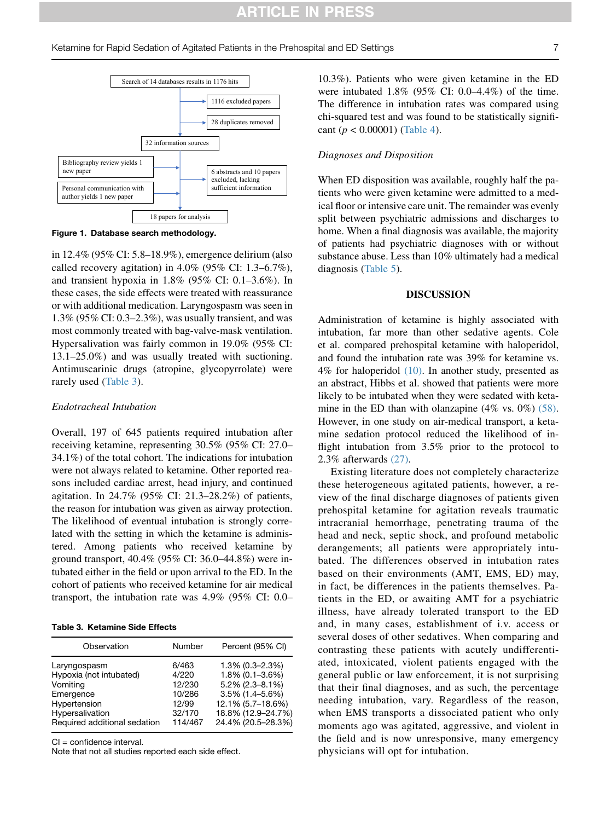<span id="page-6-0"></span>

Figure 1. Database search methodology.

in 12.4% (95% CI: 5.8–18.9%), emergence delirium (also called recovery agitation) in 4.0% (95% CI: 1.3–6.7%), and transient hypoxia in 1.8% (95% CI: 0.1–3.6%). In these cases, the side effects were treated with reassurance or with additional medication. Laryngospasm was seen in 1.3% (95% CI: 0.3–2.3%), was usually transient, and was most commonly treated with bag-valve-mask ventilation. Hypersalivation was fairly common in 19.0% (95% CI: 13.1–25.0%) and was usually treated with suctioning. Antimuscarinic drugs (atropine, glycopyrrolate) were rarely used (Table 3).

#### Endotracheal Intubation

Overall, 197 of 645 patients required intubation after receiving ketamine, representing 30.5% (95% CI: 27.0– 34.1%) of the total cohort. The indications for intubation were not always related to ketamine. Other reported reasons included cardiac arrest, head injury, and continued agitation. In 24.7% (95% CI: 21.3–28.2%) of patients, the reason for intubation was given as airway protection. The likelihood of eventual intubation is strongly correlated with the setting in which the ketamine is administered. Among patients who received ketamine by ground transport, 40.4% (95% CI: 36.0–44.8%) were intubated either in the field or upon arrival to the ED. In the cohort of patients who received ketamine for air medical transport, the intubation rate was 4.9% (95% CI: 0.0–

Table 3. Ketamine Side Effects

| Observation                  | Number  | Percent (95% CI)   |
|------------------------------|---------|--------------------|
| Laryngospasm                 | 6/463   | $1.3\%$ (0.3-2.3%) |
| Hypoxia (not intubated)      | 4/220   | $1.8\%$ (0.1-3.6%) |
| Vomiting                     | 12/230  | $5.2\%$ (2.3-8.1%) |
| Emergence                    | 10/286  | $3.5\%$ (1.4-5.6%) |
| Hypertension                 | 12/99   | 12.1% (5.7-18.6%)  |
| Hypersalivation              | 32/170  | 18.8% (12.9-24.7%) |
| Required additional sedation | 114/467 | 24.4% (20.5-28.3%) |

CI = confidence interval.

Note that not all studies reported each side effect.

10.3%). Patients who were given ketamine in the ED were intubated 1.8% (95% CI: 0.0–4.4%) of the time. The difference in intubation rates was compared using chi-squared test and was found to be statistically significant ( $p < 0.00001$ ) ([Table 4\)](#page-7-0).

#### Diagnoses and Disposition

When ED disposition was available, roughly half the patients who were given ketamine were admitted to a medical floor or intensive care unit. The remainder was evenly split between psychiatric admissions and discharges to home. When a final diagnosis was available, the majority of patients had psychiatric diagnoses with or without substance abuse. Less than 10% ultimately had a medical diagnosis ([Table 5\)](#page-7-0).

#### DISCUSSION

Administration of ketamine is highly associated with intubation, far more than other sedative agents. Cole et al. compared prehospital ketamine with haloperidol, and found the intubation rate was 39% for ketamine vs. 4% for haloperidol [\(10\).](#page-9-0) In another study, presented as an abstract, Hibbs et al. showed that patients were more likely to be intubated when they were sedated with ketamine in the ED than with olanzapine  $(4\% \text{ vs. } 0\%)$   $(58)$ . However, in one study on air-medical transport, a ketamine sedation protocol reduced the likelihood of inflight intubation from 3.5% prior to the protocol to 2.3% afterwards [\(27\)](#page-10-0).

Existing literature does not completely characterize these heterogeneous agitated patients, however, a review of the final discharge diagnoses of patients given prehospital ketamine for agitation reveals traumatic intracranial hemorrhage, penetrating trauma of the head and neck, septic shock, and profound metabolic derangements; all patients were appropriately intubated. The differences observed in intubation rates based on their environments (AMT, EMS, ED) may, in fact, be differences in the patients themselves. Patients in the ED, or awaiting AMT for a psychiatric illness, have already tolerated transport to the ED and, in many cases, establishment of i.v. access or several doses of other sedatives. When comparing and contrasting these patients with acutely undifferentiated, intoxicated, violent patients engaged with the general public or law enforcement, it is not surprising that their final diagnoses, and as such, the percentage needing intubation, vary. Regardless of the reason, when EMS transports a dissociated patient who only moments ago was agitated, aggressive, and violent in the field and is now unresponsive, many emergency physicians will opt for intubation.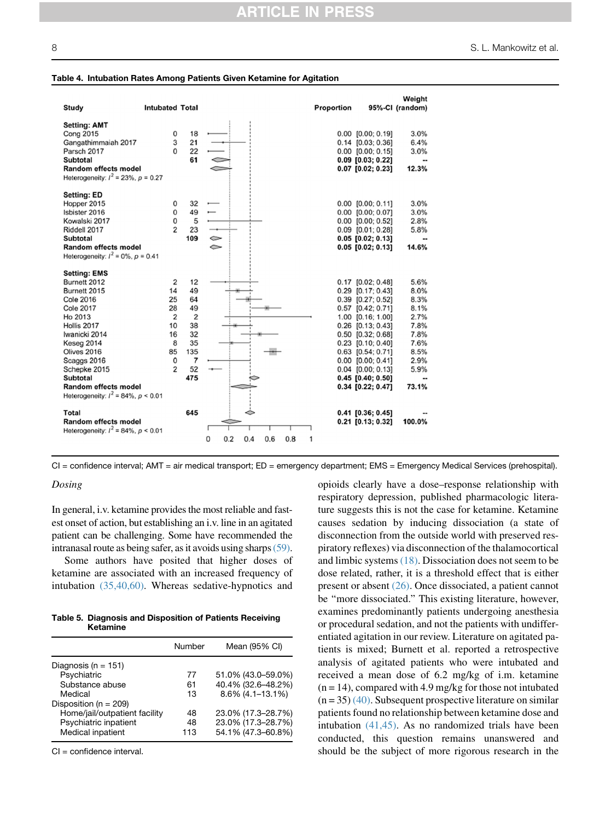#### <span id="page-7-0"></span>Table 4. Intubation Rates Among Patients Given Ketamine for Agitation

| <b>Study</b>                                                                                                                                                                                                                                                                                                                                                    | <b>Intubated Total</b>                                                 |                                                                                                       | Proportion                         | Weight<br>95%-CI (random)                                                                                                                                                                                                                                                                                                                                                                                                                                              |
|-----------------------------------------------------------------------------------------------------------------------------------------------------------------------------------------------------------------------------------------------------------------------------------------------------------------------------------------------------------------|------------------------------------------------------------------------|-------------------------------------------------------------------------------------------------------|------------------------------------|------------------------------------------------------------------------------------------------------------------------------------------------------------------------------------------------------------------------------------------------------------------------------------------------------------------------------------------------------------------------------------------------------------------------------------------------------------------------|
| <b>Setting: AMT</b><br><b>Cong 2015</b><br>Gangathimmaiah 2017<br>Parsch 2017<br>Subtotal<br>Random effects model<br>Heterogeneity: $I^2 = 23\%$ , $p = 0.27$                                                                                                                                                                                                   | 0<br>3<br>O                                                            | 18<br>21<br>22<br>61                                                                                  |                                    | $0.00$ $[0.00; 0.19]$<br>3.0%<br>$0.14$ $[0.03; 0.36]$<br>6.4%<br>3.0%<br>$0.00$ $[0.00; 0.15]$<br>$0.09$ [0.03; 0.22]<br>$0.07$ [0.02; 0.23]<br>12.3%                                                                                                                                                                                                                                                                                                                 |
| <b>Setting: ED</b><br>Hopper 2015<br>Isbister 2016<br>Kowalski 2017<br>Riddell 2017<br><b>Subtotal</b><br>Random effects model<br>Heterogeneity: $I^2 = 0\%$ , $p = 0.41$                                                                                                                                                                                       | 0<br>0<br>0<br>$\overline{c}$                                          | 32<br>49<br>5<br>23<br>109                                                                            | $\Leftarrow$<br>⇔                  | $0.00$ $[0.00; 0.11]$<br>3.0%<br>$0.00$ $[0.00; 0.07]$<br>3.0%<br>$0.00$ $[0.00; 0.52]$<br>2.8%<br>$0.09$ $[0.01; 0.28]$<br>5.8%<br>$0.05$ [0.02; 0.13]<br>$0.05$ [0.02; 0.13]<br>14.6%                                                                                                                                                                                                                                                                                |
| <b>Setting: EMS</b><br>Burnett 2012<br>Burnett 2015<br><b>Cole 2016</b><br><b>Cole 2017</b><br>Ho 2013<br>Hollis 2017<br>Iwanicki 2014<br>Keseg 2014<br>Olives 2016<br>Scaggs 2016<br>Schepke 2015<br>Subtotal<br>Random effects model<br>Heterogeneity: $I^2 = 84\%$ , $p < 0.01$<br>Total<br>Random effects model<br>Heterogeneity: $I^2 = 84\%$ , $p < 0.01$ | 2<br>14<br>25<br>28<br>2<br>10<br>16<br>8<br>85<br>0<br>$\overline{2}$ | 12<br>49<br>64<br>49<br>$\overline{2}$<br>38<br>32<br>35<br>135<br>$\overline{7}$<br>52<br>475<br>645 | 0.6<br>0.8<br>0.2<br>0.4<br>1<br>0 | $0.17$ $[0.02; 0.48]$<br>5.6%<br>8.0%<br>$0.29$ [0.17; 0.43]<br>8.3%<br>$0.39$ $[0.27; 0.52]$<br>$0.57$ [0.42; 0.71]<br>8.1%<br>2.7%<br>1.00 [0.16; 1.00]<br>7.8%<br>$0.26$ [0.13; 0.43]<br>7.8%<br>$0.50$ [0.32; 0.68]<br>7.6%<br>$0.23$ [0.10; 0.40]<br>$0.63$ [0.54; 0.71]<br>8.5%<br>2.9%<br>$0.00$ $[0.00; 0.41]$<br>5.9%<br>$0.04$ $[0.00; 0.13]$<br>$0.45$ [0.40; 0.50]<br>$0.34$ [0.22; 0.47]<br>73.1%<br>$0.41$ [0.36; 0.45]<br>$0.21$ [0.13; 0.32]<br>100.0% |

CI = confidence interval; AMT = air medical transport; ED = emergency department; EMS = Emergency Medical Services (prehospital).

Dosing

In general, i.v. ketamine provides the most reliable and fastest onset of action, but establishing an i.v. line in an agitated patient can be challenging. Some have recommended the intranasal route as being safer, as it avoids using sharps[\(59\).](#page-10-0)

Some authors have posited that higher doses of ketamine are associated with an increased frequency of intubation [\(35,40,60\).](#page-10-0) Whereas sedative-hypnotics and

| Table 5. Diagnosis and Disposition of Patients Receiving |
|----------------------------------------------------------|
| Ketamine                                                 |

|                                                                                                                                                                                  | Number                            | Mean (95% CI)                                                                                                                  |
|----------------------------------------------------------------------------------------------------------------------------------------------------------------------------------|-----------------------------------|--------------------------------------------------------------------------------------------------------------------------------|
| Diagnosis ( $n = 151$ )<br>Psychiatric<br>Substance abuse<br>Medical<br>Disposition ( $n = 209$ )<br>Home/jail/outpatient facility<br>Psychiatric inpatient<br>Medical inpatient | 77<br>61<br>13<br>48<br>48<br>113 | 51.0% (43.0-59.0%)<br>40.4% (32.6-48.2%)<br>8.6% (4.1-13.1%)<br>23.0% (17.3-28.7%)<br>23.0% (17.3-28.7%)<br>54.1% (47.3-60.8%) |

CI = confidence interval.

opioids clearly have a dose–response relationship with respiratory depression, published pharmacologic literature suggests this is not the case for ketamine. Ketamine causes sedation by inducing dissociation (a state of disconnection from the outside world with preserved respiratory reflexes) via disconnection of the thalamocortical and limbic systems [\(18\)](#page-10-0). Dissociation does not seem to be dose related, rather, it is a threshold effect that is either present or absent [\(26\)](#page-10-0). Once dissociated, a patient cannot be ''more dissociated.'' This existing literature, however, examines predominantly patients undergoing anesthesia or procedural sedation, and not the patients with undifferentiated agitation in our review. Literature on agitated patients is mixed; Burnett et al. reported a retrospective analysis of agitated patients who were intubated and received a mean dose of 6.2 mg/kg of i.m. ketamine  $(n = 14)$ , compared with 4.9 mg/kg for those not intubated  $(n = 35) (40)$  $(n = 35) (40)$ . Subsequent prospective literature on similar patients found no relationship between ketamine dose and intubation [\(41,45\).](#page-10-0) As no randomized trials have been conducted, this question remains unanswered and should be the subject of more rigorous research in the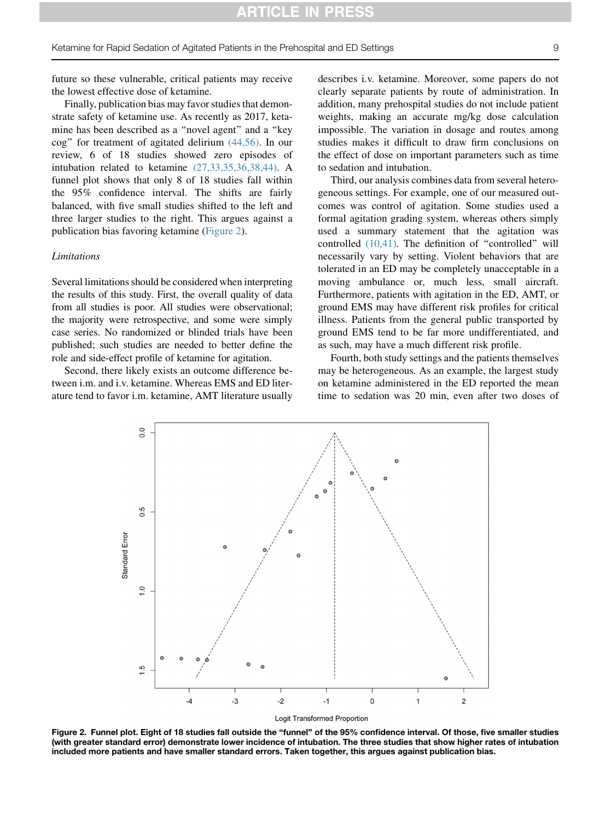future so these vulnerable, critical patients may receive the lowest effective dose of ketamine.

Finally, publication bias may favor studies that demonstrate safety of ketamine use. As recently as 2017, ketamine has been described as a ''novel agent'' and a ''key cog'' for treatment of agitated delirium [\(44,56\)](#page-10-0). In our review, 6 of 18 studies showed zero episodes of intubation related to ketamine [\(27,33,35,36,38,44\)](#page-10-0). A funnel plot shows that only 8 of 18 studies fall within the 95% confidence interval. The shifts are fairly balanced, with five small studies shifted to the left and three larger studies to the right. This argues against a publication bias favoring ketamine (Figure 2).

#### Limitations

Several limitations should be considered when interpreting the results of this study. First, the overall quality of data from all studies is poor. All studies were observational; the majority were retrospective, and some were simply case series. No randomized or blinded trials have been published; such studies are needed to better define the role and side-effect profile of ketamine for agitation.

Second, there likely exists an outcome difference between i.m. and i.v. ketamine. Whereas EMS and ED literature tend to favor i.m. ketamine, AMT literature usually describes i.v. ketamine. Moreover, some papers do not clearly separate patients by route of administration. In addition, many prehospital studies do not include patient weights, making an accurate mg/kg dose calculation impossible. The variation in dosage and routes among studies makes it difficult to draw firm conclusions on the effect of dose on important parameters such as time to sedation and intubation.

Third, our analysis combines data from several heterogeneous settings. For example, one of our measured outcomes was control of agitation. Some studies used a formal agitation grading system, whereas others simply used a summary statement that the agitation was controlled [\(10,41\).](#page-9-0) The definition of ''controlled'' will necessarily vary by setting. Violent behaviors that are tolerated in an ED may be completely unacceptable in a moving ambulance or, much less, small aircraft. Furthermore, patients with agitation in the ED, AMT, or ground EMS may have different risk profiles for critical illness. Patients from the general public transported by ground EMS tend to be far more undifferentiated, and as such, may have a much different risk profile.

Fourth, both study settings and the patients themselves may be heterogeneous. As an example, the largest study on ketamine administered in the ED reported the mean time to sedation was 20 min, even after two doses of



Logit Transformed Proportion

Figure 2. Funnel plot. Eight of 18 studies fall outside the ''funnel'' of the 95% confidence interval. Of those, five smaller studies (with greater standard error) demonstrate lower incidence of intubation. The three studies that show higher rates of intubation included more patients and have smaller standard errors. Taken together, this argues against publication bias.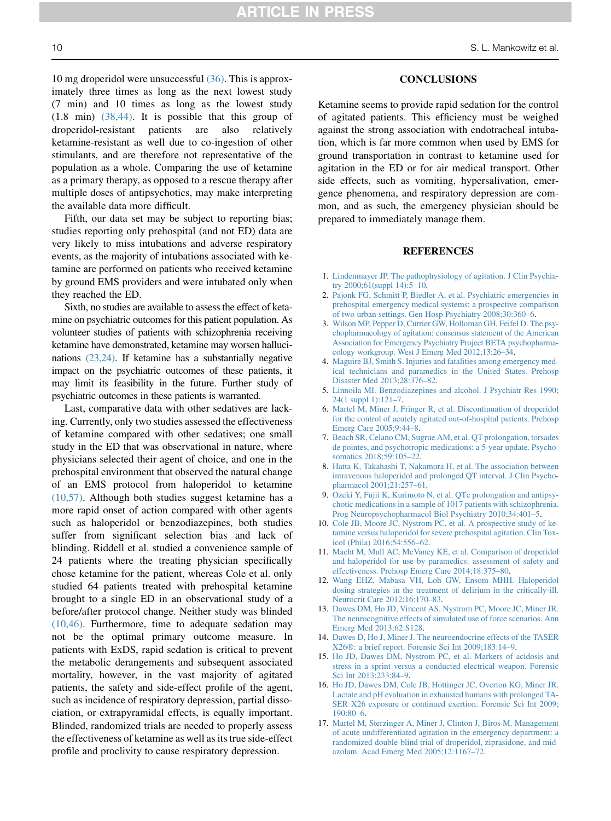<span id="page-9-0"></span>10 mg droperidol were unsuccessful [\(36\)](#page-10-0). This is approximately three times as long as the next lowest study (7 min) and 10 times as long as the lowest study (1.8 min) [\(38,44\).](#page-10-0) It is possible that this group of droperidol-resistant patients are also relatively ketamine-resistant as well due to co-ingestion of other stimulants, and are therefore not representative of the population as a whole. Comparing the use of ketamine as a primary therapy, as opposed to a rescue therapy after multiple doses of antipsychotics, may make interpreting the available data more difficult.

Fifth, our data set may be subject to reporting bias; studies reporting only prehospital (and not ED) data are very likely to miss intubations and adverse respiratory events, as the majority of intubations associated with ketamine are performed on patients who received ketamine by ground EMS providers and were intubated only when they reached the ED.

Sixth, no studies are available to assess the effect of ketamine on psychiatric outcomes for this patient population. As volunteer studies of patients with schizophrenia receiving ketamine have demonstrated, ketamine may worsen hallucinations [\(23,24\)](#page-10-0). If ketamine has a substantially negative impact on the psychiatric outcomes of these patients, it may limit its feasibility in the future. Further study of psychiatric outcomes in these patients is warranted.

Last, comparative data with other sedatives are lacking. Currently, only two studies assessed the effectiveness of ketamine compared with other sedatives; one small study in the ED that was observational in nature, where physicians selected their agent of choice, and one in the prehospital environment that observed the natural change of an EMS protocol from haloperidol to ketamine (10,57). Although both studies suggest ketamine has a more rapid onset of action compared with other agents such as haloperidol or benzodiazepines, both studies suffer from significant selection bias and lack of blinding. Riddell et al. studied a convenience sample of 24 patients where the treating physician specifically chose ketamine for the patient, whereas Cole et al. only studied 64 patients treated with prehospital ketamine brought to a single ED in an observational study of a before/after protocol change. Neither study was blinded (10,46). Furthermore, time to adequate sedation may not be the optimal primary outcome measure. In patients with ExDS, rapid sedation is critical to prevent the metabolic derangements and subsequent associated mortality, however, in the vast majority of agitated patients, the safety and side-effect profile of the agent, such as incidence of respiratory depression, partial dissociation, or extrapyramidal effects, is equally important. Blinded, randomized trials are needed to properly assess the effectiveness of ketamine as well as its true side-effect profile and proclivity to cause respiratory depression.

#### **CONCLUSIONS**

Ketamine seems to provide rapid sedation for the control of agitated patients. This efficiency must be weighed against the strong association with endotracheal intubation, which is far more common when used by EMS for ground transportation in contrast to ketamine used for agitation in the ED or for air medical transport. Other side effects, such as vomiting, hypersalivation, emergence phenomena, and respiratory depression are common, and as such, the emergency physician should be prepared to immediately manage them.

#### **REFERENCES**

- 1. [Lindenmayer JP. The pathophysiology of agitation. J Clin Psychia](http://refhub.elsevier.com/S0736-4679(18)30727-3/sref1)[try 2000;61\(suppl 14\):5–10.](http://refhub.elsevier.com/S0736-4679(18)30727-3/sref1)
- 2. [Pajonk FG, Schmitt P, Biedler A, et al. Psychiatric emergencies in](http://refhub.elsevier.com/S0736-4679(18)30727-3/sref2) [prehospital emergency medical systems: a prospective comparison](http://refhub.elsevier.com/S0736-4679(18)30727-3/sref2) [of two urban settings. Gen Hosp Psychiatry 2008;30:360–6](http://refhub.elsevier.com/S0736-4679(18)30727-3/sref2).
- 3. [Wilson MP, Pepper D, Currier GW, Holloman GH, Feifel D. The psy](http://refhub.elsevier.com/S0736-4679(18)30727-3/sref3)[chopharmacology of agitation: consensus statement of the American](http://refhub.elsevier.com/S0736-4679(18)30727-3/sref3) [Association for Emergency Psychiatry Project BETA psychopharma](http://refhub.elsevier.com/S0736-4679(18)30727-3/sref3)[cology workgroup. West J Emerg Med 2012;13:26–34](http://refhub.elsevier.com/S0736-4679(18)30727-3/sref3).
- 4. [Maguire BJ, Smith S. Injuries and fatalities among emergency med](http://refhub.elsevier.com/S0736-4679(18)30727-3/sref4)[ical technicians and paramedics in the United States. Prehosp](http://refhub.elsevier.com/S0736-4679(18)30727-3/sref4) [Disaster Med 2013;28:376–82.](http://refhub.elsevier.com/S0736-4679(18)30727-3/sref4)
- 5. [Linnoila MI. Benzodiazepines and alcohol. J Psychiatr Res 1990;](http://refhub.elsevier.com/S0736-4679(18)30727-3/sref5) [24\(1 suppl 1\):121–7.](http://refhub.elsevier.com/S0736-4679(18)30727-3/sref5)
- 6. [Martel M, Miner J, Fringer R, et al. Discontinuation of droperidol](http://refhub.elsevier.com/S0736-4679(18)30727-3/sref6) [for the control of acutely agitated out-of-hospital patients. Prehosp](http://refhub.elsevier.com/S0736-4679(18)30727-3/sref6) [Emerg Care 2005;9:44–8.](http://refhub.elsevier.com/S0736-4679(18)30727-3/sref6)
- 7. [Beach SR, Celano CM, Sugrue AM, et al. QT prolongation, torsades](http://refhub.elsevier.com/S0736-4679(18)30727-3/sref7) [de pointes, and psychotropic medications: a 5-year update. Psycho](http://refhub.elsevier.com/S0736-4679(18)30727-3/sref7)[somatics 2018;59:105–22.](http://refhub.elsevier.com/S0736-4679(18)30727-3/sref7)
- 8. [Hatta K, Takahashi T, Nakamura H, et al. The association between](http://refhub.elsevier.com/S0736-4679(18)30727-3/sref8) [intravenous haloperidol and prolonged QT interval. J Clin Psycho](http://refhub.elsevier.com/S0736-4679(18)30727-3/sref8)[pharmacol 2001;21:257–61.](http://refhub.elsevier.com/S0736-4679(18)30727-3/sref8)
- 9. [Ozeki Y, Fujii K, Kurimoto N, et al. QTc prolongation and antipsy](http://refhub.elsevier.com/S0736-4679(18)30727-3/sref9)[chotic medications in a sample of 1017 patients with schizophrenia.](http://refhub.elsevier.com/S0736-4679(18)30727-3/sref9) [Prog Neuropsychopharmacol Biol Psychiatry 2010;34:401–5](http://refhub.elsevier.com/S0736-4679(18)30727-3/sref9).
- 10. [Cole JB, Moore JC, Nystrom PC, et al. A prospective study of ke](http://refhub.elsevier.com/S0736-4679(18)30727-3/sref10)[tamine versus haloperidol for severe prehospital agitation. Clin Tox](http://refhub.elsevier.com/S0736-4679(18)30727-3/sref10)[icol \(Phila\) 2016;54:556–62.](http://refhub.elsevier.com/S0736-4679(18)30727-3/sref10)
- 11. [Macht M, Mull AC, McVaney KE, et al. Comparison of droperidol](http://refhub.elsevier.com/S0736-4679(18)30727-3/sref11) [and haloperidol for use by paramedics: assessment of safety and](http://refhub.elsevier.com/S0736-4679(18)30727-3/sref11) [effectiveness. Prehosp Emerg Care 2014;18:375–80.](http://refhub.elsevier.com/S0736-4679(18)30727-3/sref11)
- 12. [Wang EHZ, Mabasa VH, Loh GW, Ensom MHH. Haloperidol](http://refhub.elsevier.com/S0736-4679(18)30727-3/sref12) [dosing strategies in the treatment of delirium in the critically-ill.](http://refhub.elsevier.com/S0736-4679(18)30727-3/sref12) [Neurocrit Care 2012;16:170–83.](http://refhub.elsevier.com/S0736-4679(18)30727-3/sref12)
- 13. [Dawes DM, Ho JD, Vincent AS, Nystrom PC, Moore JC, Miner JR.](http://refhub.elsevier.com/S0736-4679(18)30727-3/sref13) [The neurocognitive effects of simulated use of force scenarios. Ann](http://refhub.elsevier.com/S0736-4679(18)30727-3/sref13) [Emerg Med 2013;62:S128](http://refhub.elsevier.com/S0736-4679(18)30727-3/sref13).
- 14. [Dawes D, Ho J, Miner J. The neuroendocrine effects of the TASER](http://refhub.elsevier.com/S0736-4679(18)30727-3/sref14) [X26](http://refhub.elsevier.com/S0736-4679(18)30727-3/sref14)®: a brief report. Forensic Sci Int 2009;183:14-9.
- 15. [Ho JD, Dawes DM, Nystrom PC, et al. Markers of acidosis and](http://refhub.elsevier.com/S0736-4679(18)30727-3/sref15) [stress in a sprint versus a conducted electrical weapon. Forensic](http://refhub.elsevier.com/S0736-4679(18)30727-3/sref15) [Sci Int 2013;233:84–9](http://refhub.elsevier.com/S0736-4679(18)30727-3/sref15).
- 16. [Ho JD, Dawes DM, Cole JB, Hottinger JC, Overton KG, Miner JR.](http://refhub.elsevier.com/S0736-4679(18)30727-3/sref16) [Lactate and pH evaluation in exhausted humans with prolonged TA-](http://refhub.elsevier.com/S0736-4679(18)30727-3/sref16)[SER X26 exposure or continued exertion. Forensic Sci Int 2009;](http://refhub.elsevier.com/S0736-4679(18)30727-3/sref16) [190:80–6.](http://refhub.elsevier.com/S0736-4679(18)30727-3/sref16)
- 17. [Martel M, Sterzinger A, Miner J, Clinton J, Biros M. Management](http://refhub.elsevier.com/S0736-4679(18)30727-3/sref17) [of acute undifferentiated agitation in the emergency department: a](http://refhub.elsevier.com/S0736-4679(18)30727-3/sref17) [randomized double-blind trial of droperidol, ziprasidone, and mid](http://refhub.elsevier.com/S0736-4679(18)30727-3/sref17)[azolam. Acad Emerg Med 2005;12:1167–72](http://refhub.elsevier.com/S0736-4679(18)30727-3/sref17).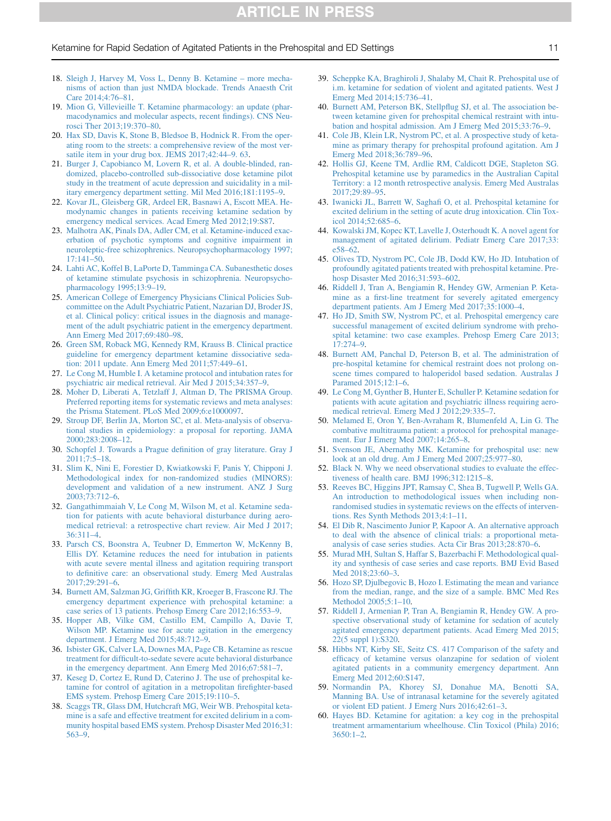# **RTICLE IN PRESS**

#### <span id="page-10-0"></span>Ketamine for Rapid Sedation of Agitated Patients in the Prehospital and ED Settings 11

- 18. [Sleigh J, Harvey M, Voss L, Denny B. Ketamine more mecha](http://refhub.elsevier.com/S0736-4679(18)30727-3/sref18)[nisms of action than just NMDA blockade. Trends Anaesth Crit](http://refhub.elsevier.com/S0736-4679(18)30727-3/sref18) [Care 2014;4:76–81](http://refhub.elsevier.com/S0736-4679(18)30727-3/sref18).
- 19. [Mion G, Villevieille T. Ketamine pharmacology: an update \(phar](http://refhub.elsevier.com/S0736-4679(18)30727-3/sref19)[macodynamics and molecular aspects, recent findings\). CNS Neu](http://refhub.elsevier.com/S0736-4679(18)30727-3/sref19)[rosci Ther 2013;19:370–80.](http://refhub.elsevier.com/S0736-4679(18)30727-3/sref19)
- 20. [Hax SD, Davis K, Stone B, Bledsoe B, Hodnick R. From the oper](http://refhub.elsevier.com/S0736-4679(18)30727-3/sref20)[ating room to the streets: a comprehensive review of the most ver](http://refhub.elsevier.com/S0736-4679(18)30727-3/sref20)[satile item in your drug box. JEMS 2017;42:44–9. 63](http://refhub.elsevier.com/S0736-4679(18)30727-3/sref20).
- 21. [Burger J, Capobianco M, Lovern R, et al. A double-blinded, ran](http://refhub.elsevier.com/S0736-4679(18)30727-3/sref21)[domized, placebo-controlled sub-dissociative dose ketamine pilot](http://refhub.elsevier.com/S0736-4679(18)30727-3/sref21) [study in the treatment of acute depression and suicidality in a mil](http://refhub.elsevier.com/S0736-4679(18)30727-3/sref21)[itary emergency department setting. Mil Med 2016;181:1195–9.](http://refhub.elsevier.com/S0736-4679(18)30727-3/sref21)
- 22. [Kovar JL, Gleisberg GR, Ardeel ER, Basnawi A, Escott MEA. He](http://refhub.elsevier.com/S0736-4679(18)30727-3/sref22)[modynamic changes in patients receiving ketamine sedation by](http://refhub.elsevier.com/S0736-4679(18)30727-3/sref22) [emergency medical services. Acad Emerg Med 2012;19:S87](http://refhub.elsevier.com/S0736-4679(18)30727-3/sref22).
- 23. [Malhotra AK, Pinals DA, Adler CM, et al. Ketamine-induced exac](http://refhub.elsevier.com/S0736-4679(18)30727-3/sref23)[erbation of psychotic symptoms and cognitive impairment in](http://refhub.elsevier.com/S0736-4679(18)30727-3/sref23) [neuroleptic-free schizophrenics. Neuropsychopharmacology 1997;](http://refhub.elsevier.com/S0736-4679(18)30727-3/sref23) [17:141–50.](http://refhub.elsevier.com/S0736-4679(18)30727-3/sref23)
- 24. [Lahti AC, Koffel B, LaPorte D, Tamminga CA. Subanesthetic doses](http://refhub.elsevier.com/S0736-4679(18)30727-3/sref24) [of ketamine stimulate psychosis in schizophrenia. Neuropsycho](http://refhub.elsevier.com/S0736-4679(18)30727-3/sref24)[pharmacology 1995;13:9–19.](http://refhub.elsevier.com/S0736-4679(18)30727-3/sref24)
- 25. [American College of Emergency Physicians Clinical Policies Sub](http://refhub.elsevier.com/S0736-4679(18)30727-3/sref25)[committee on the Adult Psychiatric Patient, Nazarian DJ, Broder JS,](http://refhub.elsevier.com/S0736-4679(18)30727-3/sref25) [et al. Clinical policy: critical issues in the diagnosis and manage](http://refhub.elsevier.com/S0736-4679(18)30727-3/sref25)[ment of the adult psychiatric patient in the emergency department.](http://refhub.elsevier.com/S0736-4679(18)30727-3/sref25) [Ann Emerg Med 2017;69:480–98.](http://refhub.elsevier.com/S0736-4679(18)30727-3/sref25)
- 26. [Green SM, Roback MG, Kennedy RM, Krauss B. Clinical practice](http://refhub.elsevier.com/S0736-4679(18)30727-3/sref26) [guideline for emergency department ketamine dissociative seda](http://refhub.elsevier.com/S0736-4679(18)30727-3/sref26)[tion: 2011 update. Ann Emerg Med 2011;57:449–61](http://refhub.elsevier.com/S0736-4679(18)30727-3/sref26).
- 27. [Le Cong M, Humble I. A ketamine protocol and intubation rates for](http://refhub.elsevier.com/S0736-4679(18)30727-3/sref27) [psychiatric air medical retrieval. Air Med J 2015;34:357–9.](http://refhub.elsevier.com/S0736-4679(18)30727-3/sref27)
- 28. [Moher D, Liberati A, Tetzlaff J, Altman D, The PRISMA Group.](http://refhub.elsevier.com/S0736-4679(18)30727-3/sref28) [Preferred reporting items for systematic reviews and meta analyses:](http://refhub.elsevier.com/S0736-4679(18)30727-3/sref28) [the Prisma Statement. PLoS Med 2009;6:e1000097.](http://refhub.elsevier.com/S0736-4679(18)30727-3/sref28)
- 29. [Stroup DF, Berlin JA, Morton SC, et al. Meta-analysis of observa](http://refhub.elsevier.com/S0736-4679(18)30727-3/sref29)[tional studies in epidemiology: a proposal for reporting. JAMA](http://refhub.elsevier.com/S0736-4679(18)30727-3/sref29) [2000;283:2008–12.](http://refhub.elsevier.com/S0736-4679(18)30727-3/sref29)
- 30. [Schopfel J. Towards a Prague definition of gray literature. Gray J](http://refhub.elsevier.com/S0736-4679(18)30727-3/sref30) [2011;7:5–18.](http://refhub.elsevier.com/S0736-4679(18)30727-3/sref30)
- 31. [Slim K, Nini E, Forestier D, Kwiatkowski F, Panis Y, Chipponi J.](http://refhub.elsevier.com/S0736-4679(18)30727-3/sref31) [Methodological index for non-randomized studies \(MINORS\):](http://refhub.elsevier.com/S0736-4679(18)30727-3/sref31) [development and validation of a new instrument. ANZ J Surg](http://refhub.elsevier.com/S0736-4679(18)30727-3/sref31) [2003;73:712–6.](http://refhub.elsevier.com/S0736-4679(18)30727-3/sref31)
- 32. [Gangathimmaiah V, Le Cong M, Wilson M, et al. Ketamine seda](http://refhub.elsevier.com/S0736-4679(18)30727-3/sref32)[tion for patients with acute behavioral disturbance during aero](http://refhub.elsevier.com/S0736-4679(18)30727-3/sref32)[medical retrieval: a retrospective chart review. Air Med J 2017;](http://refhub.elsevier.com/S0736-4679(18)30727-3/sref32) [36:311–4](http://refhub.elsevier.com/S0736-4679(18)30727-3/sref32).
- 33. [Parsch CS, Boonstra A, Teubner D, Emmerton W, McKenny B,](http://refhub.elsevier.com/S0736-4679(18)30727-3/sref33) [Ellis DY. Ketamine reduces the need for intubation in patients](http://refhub.elsevier.com/S0736-4679(18)30727-3/sref33) [with acute severe mental illness and agitation requiring transport](http://refhub.elsevier.com/S0736-4679(18)30727-3/sref33) [to definitive care: an observational study. Emerg Med Australas](http://refhub.elsevier.com/S0736-4679(18)30727-3/sref33) [2017;29:291–6.](http://refhub.elsevier.com/S0736-4679(18)30727-3/sref33)
- 34. [Burnett AM, Salzman JG, Griffith KR, Kroeger B, Frascone RJ. The](http://refhub.elsevier.com/S0736-4679(18)30727-3/sref34) [emergency department experience with prehospital ketamine: a](http://refhub.elsevier.com/S0736-4679(18)30727-3/sref34) [case series of 13 patients. Prehosp Emerg Care 2012;16:553–9.](http://refhub.elsevier.com/S0736-4679(18)30727-3/sref34)
- 35. [Hopper AB, Vilke GM, Castillo EM, Campillo A, Davie T,](http://refhub.elsevier.com/S0736-4679(18)30727-3/sref35) [Wilson MP. Ketamine use for acute agitation in the emergency](http://refhub.elsevier.com/S0736-4679(18)30727-3/sref35) [department. J Emerg Med 2015;48:712–9](http://refhub.elsevier.com/S0736-4679(18)30727-3/sref35).
- 36. [Isbister GK, Calver LA, Downes MA, Page CB. Ketamine as rescue](http://refhub.elsevier.com/S0736-4679(18)30727-3/sref36) [treatment for difficult-to-sedate severe acute behavioral disturbance](http://refhub.elsevier.com/S0736-4679(18)30727-3/sref36) [in the emergency department. Ann Emerg Med 2016;67:581–7.](http://refhub.elsevier.com/S0736-4679(18)30727-3/sref36)
- 37. [Keseg D, Cortez E, Rund D, Caterino J. The use of prehospital ke](http://refhub.elsevier.com/S0736-4679(18)30727-3/sref37)[tamine for control of agitation in a metropolitan firefighter-based](http://refhub.elsevier.com/S0736-4679(18)30727-3/sref37) [EMS system. Prehosp Emerg Care 2015;19:110–5](http://refhub.elsevier.com/S0736-4679(18)30727-3/sref37).
- 38. [Scaggs TR, Glass DM, Hutchcraft MG, Weir WB. Prehospital keta](http://refhub.elsevier.com/S0736-4679(18)30727-3/sref38)[mine is a safe and effective treatment for excited delirium in a com](http://refhub.elsevier.com/S0736-4679(18)30727-3/sref38)[munity hospital based EMS system. Prehosp Disaster Med 2016;31:](http://refhub.elsevier.com/S0736-4679(18)30727-3/sref38) [563–9](http://refhub.elsevier.com/S0736-4679(18)30727-3/sref38).
- 39. [Scheppke KA, Braghiroli J, Shalaby M, Chait R. Prehospital use of](http://refhub.elsevier.com/S0736-4679(18)30727-3/sref39) [i.m. ketamine for sedation of violent and agitated patients. West J](http://refhub.elsevier.com/S0736-4679(18)30727-3/sref39) [Emerg Med 2014;15:736–41](http://refhub.elsevier.com/S0736-4679(18)30727-3/sref39).
- 40. [Burnett AM, Peterson BK, Stellpflug SJ, et al. The association be](http://refhub.elsevier.com/S0736-4679(18)30727-3/sref40)[tween ketamine given for prehospital chemical restraint with intu](http://refhub.elsevier.com/S0736-4679(18)30727-3/sref40)[bation and hospital admission. Am J Emerg Med 2015;33:76–9](http://refhub.elsevier.com/S0736-4679(18)30727-3/sref40).
- 41. [Cole JB, Klein LR, Nystrom PC, et al. A prospective study of keta](http://refhub.elsevier.com/S0736-4679(18)30727-3/sref41)[mine as primary therapy for prehospital profound agitation. Am J](http://refhub.elsevier.com/S0736-4679(18)30727-3/sref41) [Emerg Med 2018;36:789–96](http://refhub.elsevier.com/S0736-4679(18)30727-3/sref41).
- 42. [Hollis GJ, Keene TM, Ardlie RM, Caldicott DGE, Stapleton SG.](http://refhub.elsevier.com/S0736-4679(18)30727-3/sref42) [Prehospital ketamine use by paramedics in the Australian Capital](http://refhub.elsevier.com/S0736-4679(18)30727-3/sref42) [Territory: a 12 month retrospective analysis. Emerg Med Australas](http://refhub.elsevier.com/S0736-4679(18)30727-3/sref42) [2017;29:89–95.](http://refhub.elsevier.com/S0736-4679(18)30727-3/sref42)
- 43. [Iwanicki JL, Barrett W, Saghafi O, et al. Prehospital ketamine for](http://refhub.elsevier.com/S0736-4679(18)30727-3/sref43) [excited delirium in the setting of acute drug intoxication. Clin Tox](http://refhub.elsevier.com/S0736-4679(18)30727-3/sref43)[icol 2014;52:685–6](http://refhub.elsevier.com/S0736-4679(18)30727-3/sref43).
- 44. [Kowalski JM, Kopec KT, Lavelle J, Osterhoudt K. A novel agent for](http://refhub.elsevier.com/S0736-4679(18)30727-3/sref44) [management of agitated delirium. Pediatr Emerg Care 2017;33:](http://refhub.elsevier.com/S0736-4679(18)30727-3/sref44) [e58–62](http://refhub.elsevier.com/S0736-4679(18)30727-3/sref44).
- 45. [Olives TD, Nystrom PC, Cole JB, Dodd KW, Ho JD. Intubation of](http://refhub.elsevier.com/S0736-4679(18)30727-3/sref45) [profoundly agitated patients treated with prehospital ketamine. Pre](http://refhub.elsevier.com/S0736-4679(18)30727-3/sref45)[hosp Disaster Med 2016;31:593–602](http://refhub.elsevier.com/S0736-4679(18)30727-3/sref45).
- 46. [Riddell J, Tran A, Bengiamin R, Hendey GW, Armenian P. Keta](http://refhub.elsevier.com/S0736-4679(18)30727-3/sref46)[mine as a first-line treatment for severely agitated emergency](http://refhub.elsevier.com/S0736-4679(18)30727-3/sref46) [department patients. Am J Emerg Med 2017;35:1000–4.](http://refhub.elsevier.com/S0736-4679(18)30727-3/sref46)
- 47. [Ho JD, Smith SW, Nystrom PC, et al. Prehospital emergency care](http://refhub.elsevier.com/S0736-4679(18)30727-3/sref47) [successful management of excited delirium syndrome with preho](http://refhub.elsevier.com/S0736-4679(18)30727-3/sref47)[spital ketamine: two case examples. Prehosp Emerg Care 2013;](http://refhub.elsevier.com/S0736-4679(18)30727-3/sref47)  $17:274-9$ .
- 48. [Burnett AM, Panchal D, Peterson B, et al. The administration of](http://refhub.elsevier.com/S0736-4679(18)30727-3/sref48) [pre-hospital ketamine for chemical restraint does not prolong on](http://refhub.elsevier.com/S0736-4679(18)30727-3/sref48)[scene times compared to haloperidol based sedation. Australas J](http://refhub.elsevier.com/S0736-4679(18)30727-3/sref48) [Paramed 2015;12:1–6.](http://refhub.elsevier.com/S0736-4679(18)30727-3/sref48)
- 49. [Le Cong M, Gynther B, Hunter E, Schuller P. Ketamine sedation for](http://refhub.elsevier.com/S0736-4679(18)30727-3/sref49) [patients with acute agitation and psychiatric illness requiring aero](http://refhub.elsevier.com/S0736-4679(18)30727-3/sref49)[medical retrieval. Emerg Med J 2012;29:335–7.](http://refhub.elsevier.com/S0736-4679(18)30727-3/sref49)
- 50. [Melamed E, Oron Y, Ben-Avraham R, Blumenfeld A, Lin G. The](http://refhub.elsevier.com/S0736-4679(18)30727-3/sref50) [combative multitrauma patient: a protocol for prehospital manage](http://refhub.elsevier.com/S0736-4679(18)30727-3/sref50)[ment. Eur J Emerg Med 2007;14:265–8](http://refhub.elsevier.com/S0736-4679(18)30727-3/sref50).
- 51. [Svenson JE, Abernathy MK. Ketamine for prehospital use: new](http://refhub.elsevier.com/S0736-4679(18)30727-3/sref51) [look at an old drug. Am J Emerg Med 2007;25:977–80.](http://refhub.elsevier.com/S0736-4679(18)30727-3/sref51)
- 52. [Black N. Why we need observational studies to evaluate the effec](http://refhub.elsevier.com/S0736-4679(18)30727-3/sref52)[tiveness of health care. BMJ 1996;312:1215–8](http://refhub.elsevier.com/S0736-4679(18)30727-3/sref52).
- 53. [Reeves BC, Higgins JPT, Ramsay C, Shea B, Tugwell P, Wells GA.](http://refhub.elsevier.com/S0736-4679(18)30727-3/sref53) [An introduction to methodological issues when including non](http://refhub.elsevier.com/S0736-4679(18)30727-3/sref53)[randomised studies in systematic reviews on the effects of interven](http://refhub.elsevier.com/S0736-4679(18)30727-3/sref53)[tions. Res Synth Methods 2013;4:1–11.](http://refhub.elsevier.com/S0736-4679(18)30727-3/sref53)
- 54. [El Dib R, Nascimento Junior P, Kapoor A. An alternative approach](http://refhub.elsevier.com/S0736-4679(18)30727-3/sref54) [to deal with the absence of clinical trials: a proportional meta](http://refhub.elsevier.com/S0736-4679(18)30727-3/sref54)[analysis of case series studies. Acta Cir Bras 2013;28:870–6.](http://refhub.elsevier.com/S0736-4679(18)30727-3/sref54)
- 55. [Murad MH, Sultan S, Haffar S, Bazerbachi F. Methodological qual](http://refhub.elsevier.com/S0736-4679(18)30727-3/sref55)[ity and synthesis of case series and case reports. BMJ Evid Based](http://refhub.elsevier.com/S0736-4679(18)30727-3/sref55) [Med 2018;23:60–3.](http://refhub.elsevier.com/S0736-4679(18)30727-3/sref55)
- 56. [Hozo SP, Djulbegovic B, Hozo I. Estimating the mean and variance](http://refhub.elsevier.com/S0736-4679(18)30727-3/sref56) [from the median, range, and the size of a sample. BMC Med Res](http://refhub.elsevier.com/S0736-4679(18)30727-3/sref56) [Methodol 2005;5:1–10](http://refhub.elsevier.com/S0736-4679(18)30727-3/sref56).
- 57. [Riddell J, Armenian P, Tran A, Bengiamin R, Hendey GW. A pro](http://refhub.elsevier.com/S0736-4679(18)30727-3/sref57)[spective observational study of ketamine for sedation of acutely](http://refhub.elsevier.com/S0736-4679(18)30727-3/sref57) [agitated emergency department patients. Acad Emerg Med 2015;](http://refhub.elsevier.com/S0736-4679(18)30727-3/sref57) [22\(5 suppl 1\):S320](http://refhub.elsevier.com/S0736-4679(18)30727-3/sref57).
- 58. [Hibbs NT, Kirby SE, Seitz CS. 417 Comparison of the safety and](http://refhub.elsevier.com/S0736-4679(18)30727-3/sref58) [efficacy of ketamine versus olanzapine for sedation of violent](http://refhub.elsevier.com/S0736-4679(18)30727-3/sref58) [agitated patients in a community emergency department. Ann](http://refhub.elsevier.com/S0736-4679(18)30727-3/sref58) [Emerg Med 2012;60:S147](http://refhub.elsevier.com/S0736-4679(18)30727-3/sref58).
- 59. [Normandin PA, Khorey SJ, Donahue MA, Benotti SA,](http://refhub.elsevier.com/S0736-4679(18)30727-3/sref59) [Manning BA. Use of intranasal ketamine for the severely agitated](http://refhub.elsevier.com/S0736-4679(18)30727-3/sref59) [or violent ED patient. J Emerg Nurs 2016;42:61–3](http://refhub.elsevier.com/S0736-4679(18)30727-3/sref59).
- 60. [Hayes BD. Ketamine for agitation: a key cog in the prehospital](http://refhub.elsevier.com/S0736-4679(18)30727-3/sref60) [treatment armamentarium wheelhouse. Clin Toxicol \(Phila\) 2016;](http://refhub.elsevier.com/S0736-4679(18)30727-3/sref60) [3650:1–2.](http://refhub.elsevier.com/S0736-4679(18)30727-3/sref60)